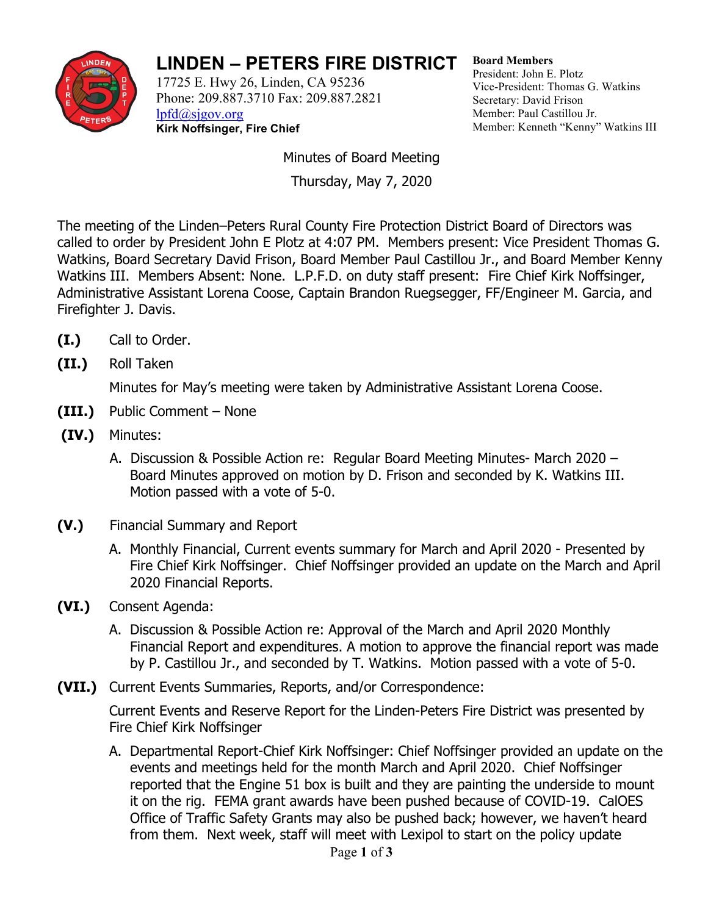

## **LINDEN – PETERS FIRE DISTRICT**

17725 E. Hwy 26, Linden, CA 95236 Phone: 209.887.3710 Fax: 209.887.2821 [lpfd@sjgov.org](mailto:lpfd@sjgov.org) **Kirk Noffsinger, Fire Chief**

**Board Members** President: John E. Plotz Vice-President: Thomas G. Watkins Secretary: David Frison Member: Paul Castillou Jr. Member: Kenneth "Kenny" Watkins III

Minutes of Board Meeting Thursday, May 7, 2020

The meeting of the Linden–Peters Rural County Fire Protection District Board of Directors was called to order by President John E Plotz at 4:07 PM. Members present: Vice President Thomas G. Watkins, Board Secretary David Frison, Board Member Paul Castillou Jr., and Board Member Kenny Watkins III. Members Absent: None. L.P.F.D. on duty staff present: Fire Chief Kirk Noffsinger, Administrative Assistant Lorena Coose, Captain Brandon Ruegsegger, FF/Engineer M. Garcia, and Firefighter J. Davis.

- **(I.)** Call to Order.
- **(II.)** Roll Taken

Minutes for May's meeting were taken by Administrative Assistant Lorena Coose.

- **(III.)** Public Comment None
- **(IV.)** Minutes:
	- A. Discussion & Possible Action re: Regular Board Meeting Minutes- March 2020 Board Minutes approved on motion by D. Frison and seconded by K. Watkins III. Motion passed with a vote of 5-0.
- **(V.)** Financial Summary and Report
	- A. Monthly Financial, Current events summary for March and April 2020 Presented by Fire Chief Kirk Noffsinger. Chief Noffsinger provided an update on the March and April 2020 Financial Reports.
- **(VI.)** Consent Agenda:
	- A. Discussion & Possible Action re: Approval of the March and April 2020 Monthly Financial Report and expenditures. A motion to approve the financial report was made by P. Castillou Jr., and seconded by T. Watkins. Motion passed with a vote of 5-0.
- **(VII.)** Current Events Summaries, Reports, and/or Correspondence:

Current Events and Reserve Report for the Linden-Peters Fire District was presented by Fire Chief Kirk Noffsinger

A. Departmental Report-Chief Kirk Noffsinger: Chief Noffsinger provided an update on the events and meetings held for the month March and April 2020. Chief Noffsinger reported that the Engine 51 box is built and they are painting the underside to mount it on the rig. FEMA grant awards have been pushed because of COVID-19. CalOES Office of Traffic Safety Grants may also be pushed back; however, we haven't heard from them. Next week, staff will meet with Lexipol to start on the policy update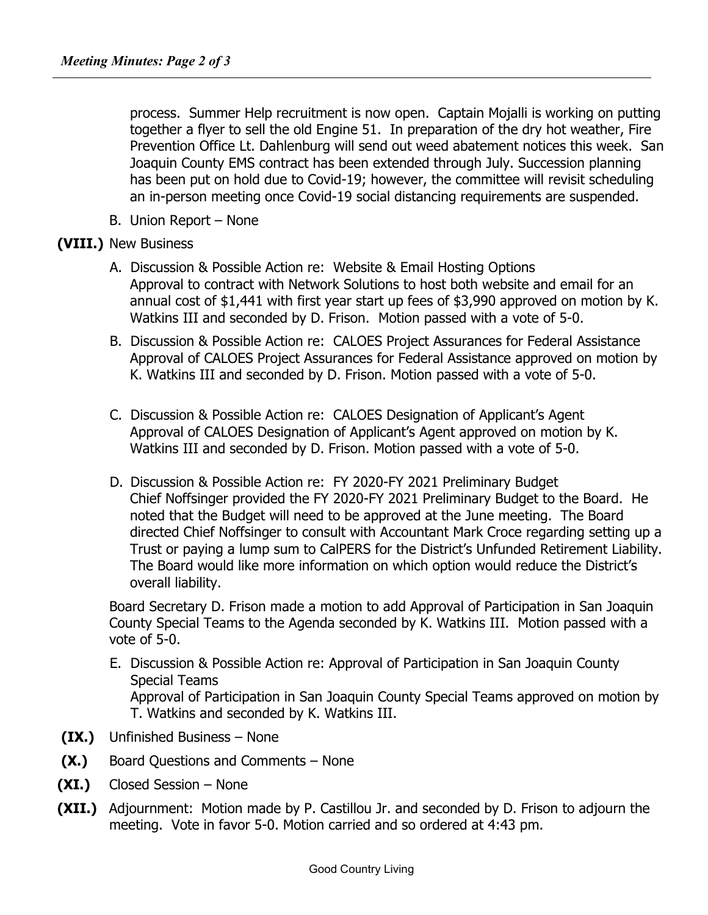process. Summer Help recruitment is now open. Captain Mojalli is working on putting together a flyer to sell the old Engine 51. In preparation of the dry hot weather, Fire Prevention Office Lt. Dahlenburg will send out weed abatement notices this week. San Joaquin County EMS contract has been extended through July. Succession planning has been put on hold due to Covid-19; however, the committee will revisit scheduling an in-person meeting once Covid-19 social distancing requirements are suspended.

B. Union Report – None

## **(VIII.)** New Business

- A. Discussion & Possible Action re: Website & Email Hosting Options Approval to contract with Network Solutions to host both website and email for an annual cost of \$1,441 with first year start up fees of \$3,990 approved on motion by K. Watkins III and seconded by D. Frison. Motion passed with a vote of 5-0.
- B. Discussion & Possible Action re: CALOES Project Assurances for Federal Assistance Approval of CALOES Project Assurances for Federal Assistance approved on motion by K. Watkins III and seconded by D. Frison. Motion passed with a vote of 5-0.
- C. Discussion & Possible Action re: CALOES Designation of Applicant's Agent Approval of CALOES Designation of Applicant's Agent approved on motion by K. Watkins III and seconded by D. Frison. Motion passed with a vote of 5-0.
- D. Discussion & Possible Action re: FY 2020-FY 2021 Preliminary Budget Chief Noffsinger provided the FY 2020-FY 2021 Preliminary Budget to the Board. He noted that the Budget will need to be approved at the June meeting. The Board directed Chief Noffsinger to consult with Accountant Mark Croce regarding setting up a Trust or paying a lump sum to CalPERS for the District's Unfunded Retirement Liability. The Board would like more information on which option would reduce the District's overall liability.

Board Secretary D. Frison made a motion to add Approval of Participation in San Joaquin County Special Teams to the Agenda seconded by K. Watkins III. Motion passed with a vote of 5-0.

- E. Discussion & Possible Action re: Approval of Participation in San Joaquin County Special Teams Approval of Participation in San Joaquin County Special Teams approved on motion by T. Watkins and seconded by K. Watkins III.
- **(IX.)** Unfinished Business None
- **(X.)** Board Questions and Comments None
- **(XI.)** Closed Session None
- **(XII.)** Adjournment:Motion made by P. Castillou Jr. and seconded by D. Frison to adjourn the meeting. Vote in favor 5-0. Motion carried and so ordered at 4:43 pm.